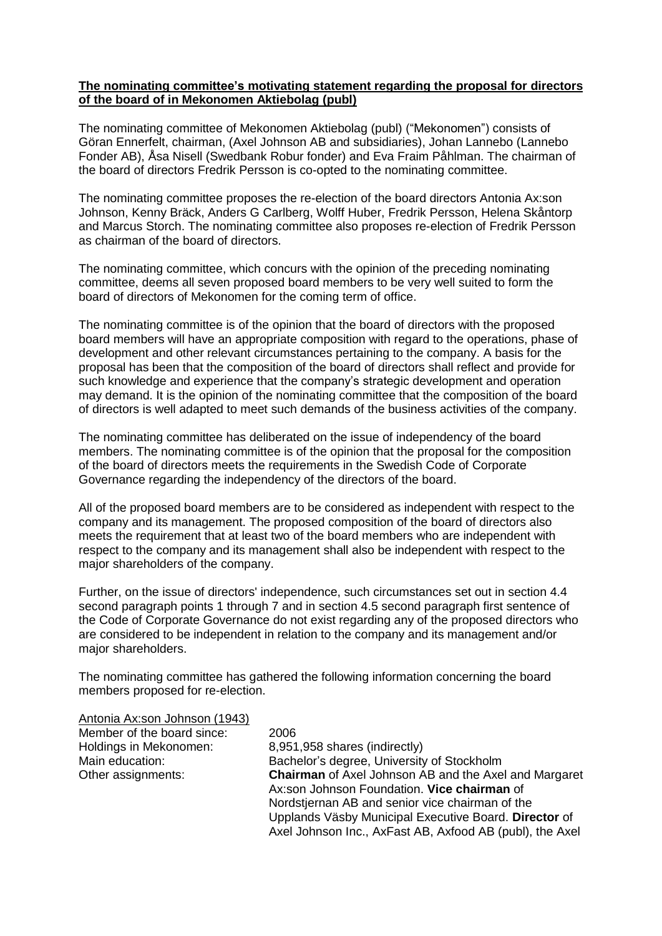## **The nominating committee's motivating statement regarding the proposal for directors of the board of in Mekonomen Aktiebolag (publ)**

The nominating committee of Mekonomen Aktiebolag (publ) ("Mekonomen") consists of Göran Ennerfelt, chairman, (Axel Johnson AB and subsidiaries), Johan Lannebo (Lannebo Fonder AB), Åsa Nisell (Swedbank Robur fonder) and Eva Fraim Påhlman. The chairman of the board of directors Fredrik Persson is co-opted to the nominating committee.

The nominating committee proposes the re-election of the board directors Antonia Ax:son Johnson, Kenny Bräck, Anders G Carlberg, Wolff Huber, Fredrik Persson, Helena Skåntorp and Marcus Storch. The nominating committee also proposes re-election of Fredrik Persson as chairman of the board of directors.

The nominating committee, which concurs with the opinion of the preceding nominating committee, deems all seven proposed board members to be very well suited to form the board of directors of Mekonomen for the coming term of office.

The nominating committee is of the opinion that the board of directors with the proposed board members will have an appropriate composition with regard to the operations, phase of development and other relevant circumstances pertaining to the company. A basis for the proposal has been that the composition of the board of directors shall reflect and provide for such knowledge and experience that the company's strategic development and operation may demand. It is the opinion of the nominating committee that the composition of the board of directors is well adapted to meet such demands of the business activities of the company.

The nominating committee has deliberated on the issue of independency of the board members. The nominating committee is of the opinion that the proposal for the composition of the board of directors meets the requirements in the Swedish Code of Corporate Governance regarding the independency of the directors of the board.

All of the proposed board members are to be considered as independent with respect to the company and its management. The proposed composition of the board of directors also meets the requirement that at least two of the board members who are independent with respect to the company and its management shall also be independent with respect to the major shareholders of the company.

Further, on the issue of directors' independence, such circumstances set out in section 4.4 second paragraph points 1 through 7 and in section 4.5 second paragraph first sentence of the Code of Corporate Governance do not exist regarding any of the proposed directors who are considered to be independent in relation to the company and its management and/or major shareholders.

The nominating committee has gathered the following information concerning the board members proposed for re-election.

| 2006                                                         |
|--------------------------------------------------------------|
| 8,951,958 shares (indirectly)                                |
| Bachelor's degree, University of Stockholm                   |
| <b>Chairman</b> of Axel Johnson AB and the Axel and Margaret |
| Ax:son Johnson Foundation. Vice chairman of                  |
| Nordstjernan AB and senior vice chairman of the              |
| Upplands Väsby Municipal Executive Board. Director of        |
| Axel Johnson Inc., AxFast AB, Axfood AB (publ), the Axel     |
|                                                              |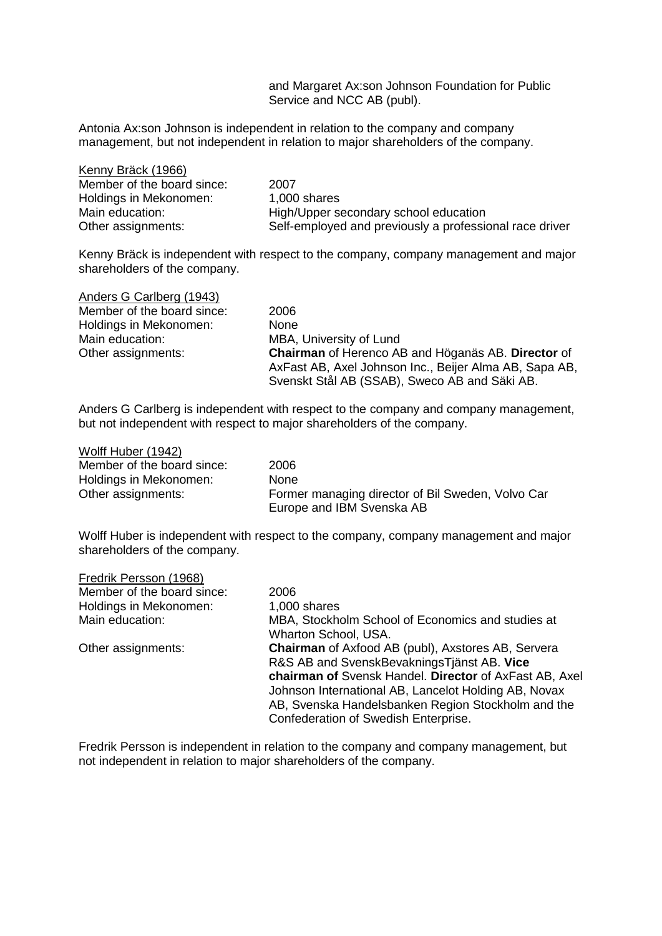and Margaret Ax:son Johnson Foundation for Public Service and NCC AB (publ).

Antonia Ax:son Johnson is independent in relation to the company and company management, but not independent in relation to major shareholders of the company.

| Kenny Bräck (1966)         |                                                         |
|----------------------------|---------------------------------------------------------|
| Member of the board since: | 2007                                                    |
| Holdings in Mekonomen:     | 1,000 shares                                            |
| Main education:            | High/Upper secondary school education                   |
| Other assignments:         | Self-employed and previously a professional race driver |

Kenny Bräck is independent with respect to the company, company management and major shareholders of the company.

| Anders G Carlberg (1943)   |                                                        |
|----------------------------|--------------------------------------------------------|
| Member of the board since: | 2006                                                   |
| Holdings in Mekonomen:     | None                                                   |
| Main education:            | MBA, University of Lund                                |
| Other assignments:         | Chairman of Herenco AB and Höganäs AB. Director of     |
|                            | AxFast AB, Axel Johnson Inc., Beijer Alma AB, Sapa AB, |
|                            | Svenskt Stål AB (SSAB), Sweco AB and Säki AB.          |

Anders G Carlberg is independent with respect to the company and company management, but not independent with respect to major shareholders of the company.

| Wolff Huber (1942)         |                                                   |
|----------------------------|---------------------------------------------------|
| Member of the board since: | 2006                                              |
| Holdings in Mekonomen:     | <b>None</b>                                       |
| Other assignments:         | Former managing director of Bil Sweden, Volvo Car |
|                            | Europe and IBM Svenska AB                         |

Wolff Huber is independent with respect to the company, company management and major shareholders of the company.

| Fredrik Persson (1968)     |                                                                                                                                                                                                                                                                                                                         |
|----------------------------|-------------------------------------------------------------------------------------------------------------------------------------------------------------------------------------------------------------------------------------------------------------------------------------------------------------------------|
| Member of the board since: | 2006                                                                                                                                                                                                                                                                                                                    |
| Holdings in Mekonomen:     | 1,000 shares                                                                                                                                                                                                                                                                                                            |
| Main education:            | MBA, Stockholm School of Economics and studies at<br>Wharton School, USA.                                                                                                                                                                                                                                               |
| Other assignments:         | <b>Chairman</b> of Axfood AB (publ), Axstores AB, Servera<br>R&S AB and SvenskBevakningsTjänst AB. Vice<br>chairman of Svensk Handel. Director of AxFast AB, Axel<br>Johnson International AB, Lancelot Holding AB, Novax<br>AB, Svenska Handelsbanken Region Stockholm and the<br>Confederation of Swedish Enterprise. |

Fredrik Persson is independent in relation to the company and company management, but not independent in relation to major shareholders of the company.